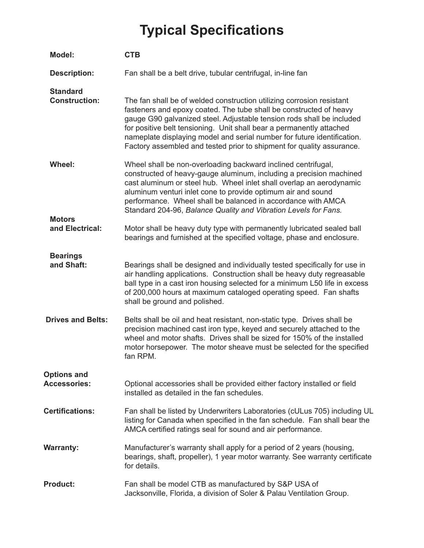## **Typical Specifications**

| <b>Model:</b>                             | <b>CTB</b>                                                                                                                                                                                                                                                                                                                                                                                                                                       |
|-------------------------------------------|--------------------------------------------------------------------------------------------------------------------------------------------------------------------------------------------------------------------------------------------------------------------------------------------------------------------------------------------------------------------------------------------------------------------------------------------------|
| <b>Description:</b>                       | Fan shall be a belt drive, tubular centrifugal, in-line fan                                                                                                                                                                                                                                                                                                                                                                                      |
| <b>Standard</b><br><b>Construction:</b>   | The fan shall be of welded construction utilizing corrosion resistant<br>fasteners and epoxy coated. The tube shall be constructed of heavy<br>gauge G90 galvanized steel. Adjustable tension rods shall be included<br>for positive belt tensioning. Unit shall bear a permanently attached<br>nameplate displaying model and serial number for future identification.<br>Factory assembled and tested prior to shipment for quality assurance. |
| <b>Wheel:</b>                             | Wheel shall be non-overloading backward inclined centrifugal,<br>constructed of heavy-gauge aluminum, including a precision machined<br>cast aluminum or steel hub. Wheel inlet shall overlap an aerodynamic<br>aluminum venturi inlet cone to provide optimum air and sound<br>performance. Wheel shall be balanced in accordance with AMCA<br>Standard 204-96, Balance Quality and Vibration Levels for Fans.                                  |
| <b>Motors</b><br>and Electrical:          | Motor shall be heavy duty type with permanently lubricated sealed ball<br>bearings and furnished at the specified voltage, phase and enclosure.                                                                                                                                                                                                                                                                                                  |
| <b>Bearings</b><br>and Shaft:             | Bearings shall be designed and individually tested specifically for use in<br>air handling applications. Construction shall be heavy duty regreasable<br>ball type in a cast iron housing selected for a minimum L50 life in excess<br>of 200,000 hours at maximum cataloged operating speed. Fan shafts<br>shall be ground and polished.                                                                                                        |
| <b>Drives and Belts:</b>                  | Belts shall be oil and heat resistant, non-static type. Drives shall be<br>precision machined cast iron type, keyed and securely attached to the<br>wheel and motor shafts. Drives shall be sized for 150% of the installed<br>motor horsepower. The motor sheave must be selected for the specified<br>fan RPM.                                                                                                                                 |
| <b>Options and</b><br><b>Accessories:</b> | Optional accessories shall be provided either factory installed or field<br>installed as detailed in the fan schedules.                                                                                                                                                                                                                                                                                                                          |
| <b>Certifications:</b>                    | Fan shall be listed by Underwriters Laboratories (cULus 705) including UL<br>listing for Canada when specified in the fan schedule. Fan shall bear the<br>AMCA certified ratings seal for sound and air performance.                                                                                                                                                                                                                             |
| <b>Warranty:</b>                          | Manufacturer's warranty shall apply for a period of 2 years (housing,<br>bearings, shaft, propeller), 1 year motor warranty. See warranty certificate<br>for details.                                                                                                                                                                                                                                                                            |
| <b>Product:</b>                           | Fan shall be model CTB as manufactured by S&P USA of<br>Jacksonville, Florida, a division of Soler & Palau Ventilation Group.                                                                                                                                                                                                                                                                                                                    |